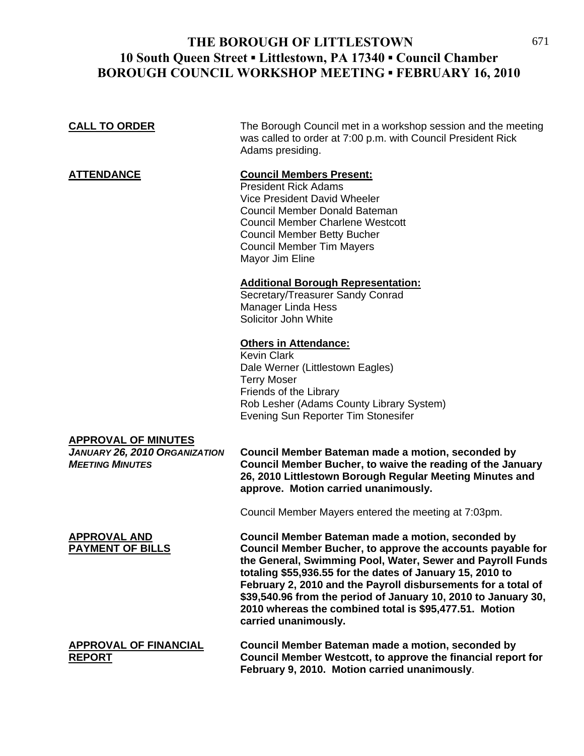## THE BOROUGH OF LITTLESTOWN 671 **10 South Queen Street ▪ Littlestown, PA 17340 ▪ Council Chamber BOROUGH COUNCIL WORKSHOP MEETING ▪ FEBRUARY 16, 2010**

| <b>CALL TO ORDER</b>                                                                  | The Borough Council met in a workshop session and the meeting<br>was called to order at 7:00 p.m. with Council President Rick<br>Adams presiding.                                                                                                                                                                                                                                                                                                               |
|---------------------------------------------------------------------------------------|-----------------------------------------------------------------------------------------------------------------------------------------------------------------------------------------------------------------------------------------------------------------------------------------------------------------------------------------------------------------------------------------------------------------------------------------------------------------|
| <b>ATTENDANCE</b>                                                                     | <b>Council Members Present:</b><br><b>President Rick Adams</b><br><b>Vice President David Wheeler</b><br>Council Member Donald Bateman<br><b>Council Member Charlene Westcott</b><br><b>Council Member Betty Bucher</b><br><b>Council Member Tim Mayers</b><br>Mayor Jim Eline                                                                                                                                                                                  |
|                                                                                       | <b>Additional Borough Representation:</b><br>Secretary/Treasurer Sandy Conrad<br>Manager Linda Hess<br>Solicitor John White                                                                                                                                                                                                                                                                                                                                     |
|                                                                                       | <b>Others in Attendance:</b><br><b>Kevin Clark</b><br>Dale Werner (Littlestown Eagles)<br><b>Terry Moser</b><br>Friends of the Library<br>Rob Lesher (Adams County Library System)<br>Evening Sun Reporter Tim Stonesifer                                                                                                                                                                                                                                       |
| <b>APPROVAL OF MINUTES</b><br>JANUARY 26, 2010 ORGANIZATION<br><b>MEETING MINUTES</b> | Council Member Bateman made a motion, seconded by<br>Council Member Bucher, to waive the reading of the January<br>26, 2010 Littlestown Borough Regular Meeting Minutes and<br>approve. Motion carried unanimously.                                                                                                                                                                                                                                             |
|                                                                                       | Council Member Mayers entered the meeting at 7:03pm.                                                                                                                                                                                                                                                                                                                                                                                                            |
| <b>APPROVAL AND</b><br><b>PAYMENT OF BILLS</b>                                        | Council Member Bateman made a motion, seconded by<br>Council Member Bucher, to approve the accounts payable for<br>the General, Swimming Pool, Water, Sewer and Payroll Funds<br>totaling \$55,936.55 for the dates of January 15, 2010 to<br>February 2, 2010 and the Payroll disbursements for a total of<br>\$39,540.96 from the period of January 10, 2010 to January 30,<br>2010 whereas the combined total is \$95,477.51. Motion<br>carried unanimously. |
| <u>APPROVAL OF FINANCIAL</u><br><b>REPORT</b>                                         | Council Member Bateman made a motion, seconded by<br>Council Member Westcott, to approve the financial report for<br>February 9, 2010. Motion carried unanimously.                                                                                                                                                                                                                                                                                              |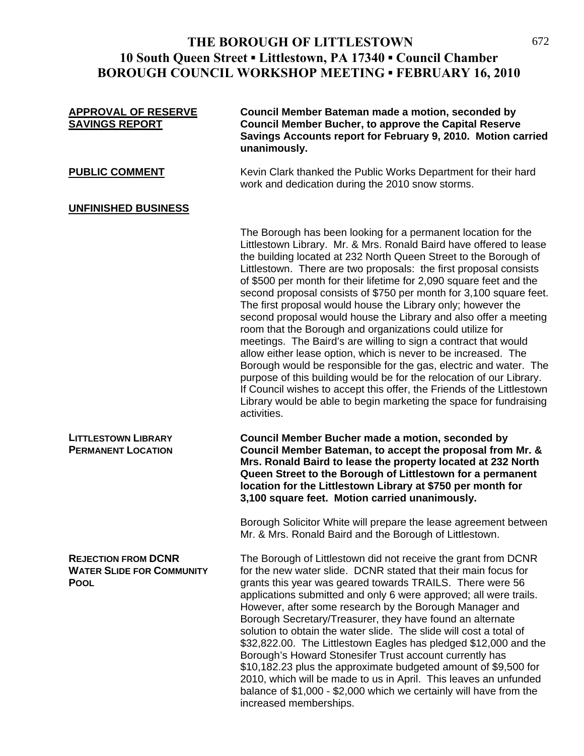## **THE BOROUGH OF LITTLESTOWN** 672 **10 South Queen Street ▪ Littlestown, PA 17340 ▪ Council Chamber BOROUGH COUNCIL WORKSHOP MEETING ▪ FEBRUARY 16, 2010**

| <b>APPROVAL OF RESERVE</b><br><b>SAVINGS REPORT</b>                           | Council Member Bateman made a motion, seconded by<br><b>Council Member Bucher, to approve the Capital Reserve</b><br>Savings Accounts report for February 9, 2010. Motion carried<br>unanimously.                                                                                                                                                                                                                                                                                                                                                                                                                                                                                                                                                                                                                                                                                                                                                                                                                                                                           |
|-------------------------------------------------------------------------------|-----------------------------------------------------------------------------------------------------------------------------------------------------------------------------------------------------------------------------------------------------------------------------------------------------------------------------------------------------------------------------------------------------------------------------------------------------------------------------------------------------------------------------------------------------------------------------------------------------------------------------------------------------------------------------------------------------------------------------------------------------------------------------------------------------------------------------------------------------------------------------------------------------------------------------------------------------------------------------------------------------------------------------------------------------------------------------|
| <b>PUBLIC COMMENT</b>                                                         | Kevin Clark thanked the Public Works Department for their hard<br>work and dedication during the 2010 snow storms.                                                                                                                                                                                                                                                                                                                                                                                                                                                                                                                                                                                                                                                                                                                                                                                                                                                                                                                                                          |
| <b>UNFINISHED BUSINESS</b>                                                    |                                                                                                                                                                                                                                                                                                                                                                                                                                                                                                                                                                                                                                                                                                                                                                                                                                                                                                                                                                                                                                                                             |
|                                                                               | The Borough has been looking for a permanent location for the<br>Littlestown Library. Mr. & Mrs. Ronald Baird have offered to lease<br>the building located at 232 North Queen Street to the Borough of<br>Littlestown. There are two proposals: the first proposal consists<br>of \$500 per month for their lifetime for 2,090 square feet and the<br>second proposal consists of \$750 per month for 3,100 square feet.<br>The first proposal would house the Library only; however the<br>second proposal would house the Library and also offer a meeting<br>room that the Borough and organizations could utilize for<br>meetings. The Baird's are willing to sign a contract that would<br>allow either lease option, which is never to be increased. The<br>Borough would be responsible for the gas, electric and water. The<br>purpose of this building would be for the relocation of our Library.<br>If Council wishes to accept this offer, the Friends of the Littlestown<br>Library would be able to begin marketing the space for fundraising<br>activities. |
| <b>LITTLESTOWN LIBRARY</b><br><b>PERMANENT LOCATION</b>                       | <b>Council Member Bucher made a motion, seconded by</b><br>Council Member Bateman, to accept the proposal from Mr. &<br>Mrs. Ronald Baird to lease the property located at 232 North<br>Queen Street to the Borough of Littlestown for a permanent<br>location for the Littlestown Library at \$750 per month for<br>3,100 square feet. Motion carried unanimously.                                                                                                                                                                                                                                                                                                                                                                                                                                                                                                                                                                                                                                                                                                         |
|                                                                               | Borough Solicitor White will prepare the lease agreement between<br>Mr. & Mrs. Ronald Baird and the Borough of Littlestown.                                                                                                                                                                                                                                                                                                                                                                                                                                                                                                                                                                                                                                                                                                                                                                                                                                                                                                                                                 |
| <b>REJECTION FROM DCNR</b><br><b>WATER SLIDE FOR COMMUNITY</b><br><b>POOL</b> | The Borough of Littlestown did not receive the grant from DCNR<br>for the new water slide. DCNR stated that their main focus for<br>grants this year was geared towards TRAILS. There were 56<br>applications submitted and only 6 were approved; all were trails.<br>However, after some research by the Borough Manager and<br>Borough Secretary/Treasurer, they have found an alternate<br>solution to obtain the water slide. The slide will cost a total of<br>\$32,822.00. The Littlestown Eagles has pledged \$12,000 and the<br>Borough's Howard Stonesifer Trust account currently has<br>\$10,182.23 plus the approximate budgeted amount of \$9,500 for<br>2010, which will be made to us in April. This leaves an unfunded<br>balance of \$1,000 - \$2,000 which we certainly will have from the<br>increased memberships.                                                                                                                                                                                                                                      |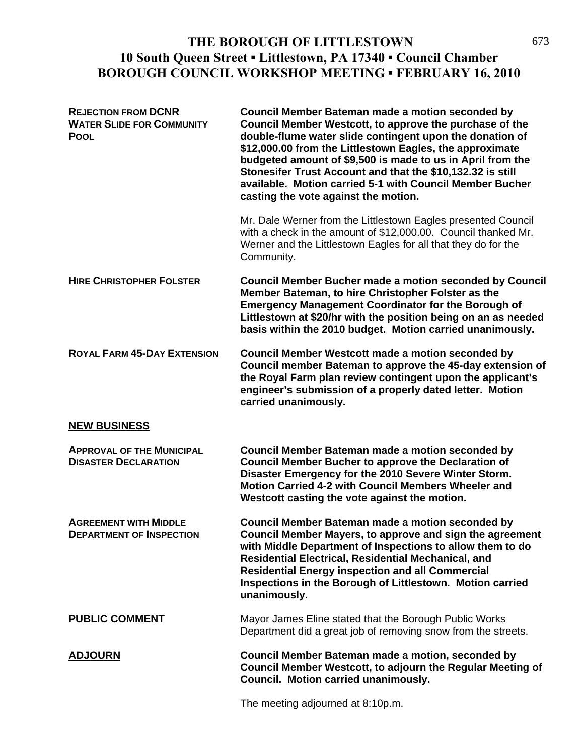## **THE BOROUGH OF LITTLESTOWN** 673 **10 South Queen Street ▪ Littlestown, PA 17340 ▪ Council Chamber BOROUGH COUNCIL WORKSHOP MEETING ▪ FEBRUARY 16, 2010**

| <b>REJECTION FROM DCNR</b><br><b>WATER SLIDE FOR COMMUNITY</b><br><b>POOL</b> | Council Member Bateman made a motion seconded by<br>Council Member Westcott, to approve the purchase of the<br>double-flume water slide contingent upon the donation of<br>\$12,000.00 from the Littlestown Eagles, the approximate<br>budgeted amount of \$9,500 is made to us in April from the<br>Stonesifer Trust Account and that the \$10,132.32 is still<br>available. Motion carried 5-1 with Council Member Bucher<br>casting the vote against the motion. |
|-------------------------------------------------------------------------------|---------------------------------------------------------------------------------------------------------------------------------------------------------------------------------------------------------------------------------------------------------------------------------------------------------------------------------------------------------------------------------------------------------------------------------------------------------------------|
|                                                                               | Mr. Dale Werner from the Littlestown Eagles presented Council<br>with a check in the amount of \$12,000.00. Council thanked Mr.<br>Werner and the Littlestown Eagles for all that they do for the<br>Community.                                                                                                                                                                                                                                                     |
| <b>HIRE CHRISTOPHER FOLSTER</b>                                               | <b>Council Member Bucher made a motion seconded by Council</b><br>Member Bateman, to hire Christopher Folster as the<br><b>Emergency Management Coordinator for the Borough of</b><br>Littlestown at \$20/hr with the position being on an as needed<br>basis within the 2010 budget. Motion carried unanimously.                                                                                                                                                   |
| <b>ROYAL FARM 45-DAY EXTENSION</b>                                            | Council Member Westcott made a motion seconded by<br>Council member Bateman to approve the 45-day extension of<br>the Royal Farm plan review contingent upon the applicant's<br>engineer's submission of a properly dated letter. Motion<br>carried unanimously.                                                                                                                                                                                                    |
| <b>NEW BUSINESS</b>                                                           |                                                                                                                                                                                                                                                                                                                                                                                                                                                                     |
| <b>APPROVAL OF THE MUNICIPAL</b><br><b>DISASTER DECLARATION</b>               | Council Member Bateman made a motion seconded by<br><b>Council Member Bucher to approve the Declaration of</b><br>Disaster Emergency for the 2010 Severe Winter Storm.<br>Motion Carried 4-2 with Council Members Wheeler and<br>Westcott casting the vote against the motion.                                                                                                                                                                                      |
| <b>AGREEMENT WITH MIDDLE</b><br><b>DEPARTMENT OF INSPECTION</b>               | Council Member Bateman made a motion seconded by<br>Council Member Mayers, to approve and sign the agreement<br>with Middle Department of Inspections to allow them to do<br>Residential Electrical, Residential Mechanical, and<br><b>Residential Energy inspection and all Commercial</b><br>Inspections in the Borough of Littlestown. Motion carried<br>unanimously.                                                                                            |
| <b>PUBLIC COMMENT</b>                                                         | Mayor James Eline stated that the Borough Public Works<br>Department did a great job of removing snow from the streets.                                                                                                                                                                                                                                                                                                                                             |
| <b>ADJOURN</b>                                                                | Council Member Bateman made a motion, seconded by<br>Council Member Westcott, to adjourn the Regular Meeting of<br>Council. Motion carried unanimously.                                                                                                                                                                                                                                                                                                             |
|                                                                               | The meeting adjourned at 8:10p.m.                                                                                                                                                                                                                                                                                                                                                                                                                                   |